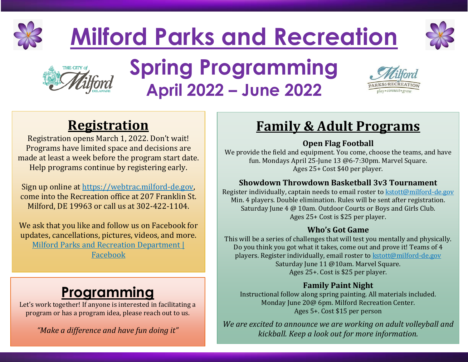

# **Milford Parks and Recreation**





# **Spring Programming April 2022 – June 2022**



## **Registration**

Registration opens March 1, 2022. Don't wait! Programs have limited space and decisions are made at least a week before the program start date. Help programs continue by registering early.

Sign up online at [https://webtrac.milford-de.gov,](https://webtrac.milford-de.gov/) come into the Recreation office at 207 Franklin St. Milford, DE 19963 or call us at 302-422-1104.

We ask that you like and follow us on Facebook for updates, cancellations, pictures, videos, and more. [Milford Parks and Recreation Department |](https://www.facebook.com/milfordeparksandrec)  [Facebook](https://www.facebook.com/milfordeparksandrec)

# **Programming**

Let's work together! If anyone is interested in facilitating a program or has a program idea, please reach out to us.

*"Make a difference and have fun doing it"* 

### **Family & Adult Programs**

### **Open Flag Football**

We provide the field and equipment. You come, choose the teams, and have fun. Mondays April 25-June 13 @6-7:30pm. Marvel Square. Ages 25+ Cost \$40 per player.

### **Showdown Throwdown Basketball 3v3 Tournament**

Register individually, captain needs to email roster to [kstott@milford-de.gov](mailto:kstott@milford-de.gov) Min. 4 players. Double elimination. Rules will be sent after registration. Saturday June 4 @ 10am. Outdoor Courts or Boys and Girls Club. Ages 25+ Cost is \$25 per player.

#### **Who's Got Game**

This will be a series of challenges that will test you mentally and physically. Do you think you got what it takes, come out and prove it! Teams of 4 players. Register individually, email roster to [kstott@milford-de.gov](mailto:kstott@milford-de.gov)  Saturday June 11 @10am. Marvel Square. Ages 25+. Cost is \$25 per player.

### **Family Paint Night**

Instructional follow along spring painting. All materials included. Monday June 20@ 6pm. Milford Recreation Center. Ages 5+. Cost \$15 per person

*We are excited to announce we are working on adult volleyball and kickball. Keep a look out for more information.*